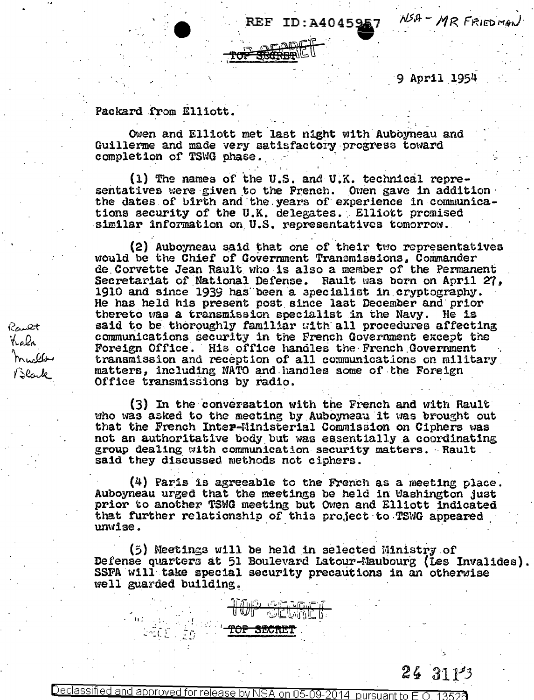REF ID:A4045957

9 April 1954

NSA-MR FRIEDMAN

Packard from Elliott.

Owen and Elliott met last night with Auboyneau and Guillerme and made very satisfactory progress toward completion of TSWG phase.

(1) The names of the U.S. and U.K. technical representatives were given to the French. Owen gave in addition the dates of birth and the years of experience in communications security of the U.K. delegates. Elliott promised similar information on U.S. representatives tomorrow.

(2) Auboyneau said that one of their two representatives would be the Chief of Government Transmissions, Commander de Corvette Jean Rault who is also a member of the Permanent Secretariat of National Defense. Rault was born on April 27, 1910 and since 1939 has been a specialist in cryptography. He has held his present post since last December and prior thereto was a transmission specialist in the Navy. He is said to be thoroughly familiar with all procedures affecting communications security in the French Government except the Foreign Office. His office handles the French Government transmission and reception of all communications on military matters, including NATO and handles some of the Foreign Office transmissions by radio.

(3) In the conversation with the French and with Rault who was asked to the meeting by Auboyneau it was brought out that the French Inter-Ministerial Commission on Ciphers was not an authoritative body but was essentially a coordinating group dealing with communication security matters. Rault said they discussed methods not ciphers.

(4) Paris is agreeable to the French as a meeting place. Auboyneau urged that the meetings be held in Washington just prior to another TSMG meeting but Owen and Elliott indicated that further relationship of this project to TSWG appeared unwise.

(5) Meetings will be held in selected Ministry of Defense quarters at 51 Boulevard Latour-Maubourg (Les Invalides). SSFA will take special security precautions in an otherwise well guarded building.

Rault Krala mwller<br>Mwller<br>Black

 $243113$ 

Declassified and approved for release by NSA on 05-09-2014 pursuant to E.O. 13520

TOP SECRET

លាចិនទីក្

TOP SERGET